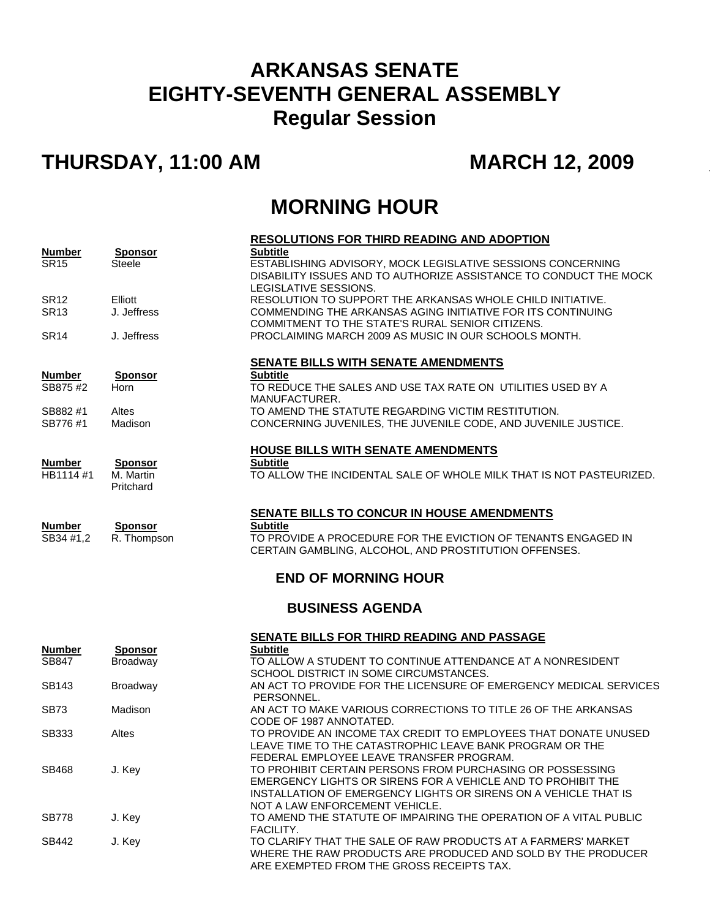## **ARKANSAS SENATE EIGHTY-SEVENTH GENERAL ASSEMBLY Regular Session**

## **THURSDAY, 11:00 AM MARCH 12, 2009**

## **MORNING HOUR**

|                              |                                 | <b>RESOLUTIONS FOR THIRD READING AND ADOPTION</b><br><b>Subtitle</b>                                                                                      |  |  |
|------------------------------|---------------------------------|-----------------------------------------------------------------------------------------------------------------------------------------------------------|--|--|
| <b>Number</b><br><b>SR15</b> | <b>Sponsor</b><br><b>Steele</b> | ESTABLISHING ADVISORY, MOCK LEGISLATIVE SESSIONS CONCERNING<br>DISABILITY ISSUES AND TO AUTHORIZE ASSISTANCE TO CONDUCT THE MOCK<br>LEGISLATIVE SESSIONS. |  |  |
| <b>SR12</b>                  | Elliott                         | RESOLUTION TO SUPPORT THE ARKANSAS WHOLE CHILD INITIATIVE.                                                                                                |  |  |
| <b>SR13</b>                  | J. Jeffress                     | COMMENDING THE ARKANSAS AGING INITIATIVE FOR ITS CONTINUING                                                                                               |  |  |
|                              |                                 | COMMITMENT TO THE STATE'S RURAL SENIOR CITIZENS.                                                                                                          |  |  |
| SR <sub>14</sub>             | J. Jeffress                     | PROCLAIMING MARCH 2009 AS MUSIC IN OUR SCHOOLS MONTH.                                                                                                     |  |  |
|                              |                                 | <b>SENATE BILLS WITH SENATE AMENDMENTS</b>                                                                                                                |  |  |
| <b>Number</b>                | <b>Sponsor</b>                  | <b>Subtitle</b>                                                                                                                                           |  |  |
| SB875 #2                     | Horn                            | TO REDUCE THE SALES AND USE TAX RATE ON UTILITIES USED BY A<br>MANUFACTURER.                                                                              |  |  |
| SB882#1                      | Altes                           | TO AMEND THE STATUTE REGARDING VICTIM RESTITUTION.                                                                                                        |  |  |
| SB776#1                      | Madison                         | CONCERNING JUVENILES, THE JUVENILE CODE, AND JUVENILE JUSTICE.                                                                                            |  |  |
|                              |                                 | <b>HOUSE BILLS WITH SENATE AMENDMENTS</b>                                                                                                                 |  |  |
| <b>Number</b>                | <b>Sponsor</b>                  | <b>Subtitle</b>                                                                                                                                           |  |  |
| HB1114 #1                    | M. Martin                       | TO ALLOW THE INCIDENTAL SALE OF WHOLE MILK THAT IS NOT PASTEURIZED.                                                                                       |  |  |
|                              | Pritchard                       |                                                                                                                                                           |  |  |
|                              |                                 | SENATE BILLS TO CONCUR IN HOUSE AMENDMENTS                                                                                                                |  |  |
| <b>Number</b>                | <b>Sponsor</b>                  | <b>Subtitle</b>                                                                                                                                           |  |  |
| SB34 #1,2                    | R. Thompson                     | TO PROVIDE A PROCEDURE FOR THE EVICTION OF TENANTS ENGAGED IN<br>CERTAIN GAMBLING, ALCOHOL, AND PROSTITUTION OFFENSES.                                    |  |  |
|                              |                                 | <b>END OF MORNING HOUR</b>                                                                                                                                |  |  |
|                              |                                 |                                                                                                                                                           |  |  |
| <b>BUSINESS AGENDA</b>       |                                 |                                                                                                                                                           |  |  |
|                              |                                 | SENATE BILLS FOR THIRD READING AND PASSAGE                                                                                                                |  |  |
| <b>Number</b>                | <b>Sponsor</b>                  | <b>Subtitle</b>                                                                                                                                           |  |  |
| SB847                        | Broadway                        | TO ALLOW A STUDENT TO CONTINUE ATTENDANCE AT A NONRESIDENT<br>SCHOOL DISTRICT IN SOME CIRCUMSTANCES.                                                      |  |  |
| SB143                        | Broadway                        | AN ACT TO PROVIDE FOR THE LICENSURE OF EMERGENCY MEDICAL SERVICES                                                                                         |  |  |
|                              |                                 | PERSONNEL.                                                                                                                                                |  |  |
| SB73                         | Madison                         | AN ACT TO MAKE VARIOUS CORRECTIONS TO TITLE 26 OF THE ARKANSAS<br>CODE OF 1987 ANNOTATED.                                                                 |  |  |
| SB333                        | Altes                           | TO PROVIDE AN INCOME TAX CREDIT TO EMPLOYEES THAT DONATE UNUSED                                                                                           |  |  |
|                              |                                 | LEAVE TIME TO THE CATASTROPHIC LEAVE BANK PROGRAM OR THE                                                                                                  |  |  |
| SB468                        | J. Key                          | FEDERAL EMPLOYEE LEAVE TRANSFER PROGRAM.<br>TO PROHIBIT CERTAIN PERSONS FROM PURCHASING OR POSSESSING                                                     |  |  |
|                              |                                 | EMERGENCY LIGHTS OR SIRENS FOR A VEHICLE AND TO PROHIBIT THE                                                                                              |  |  |
|                              |                                 | INSTALLATION OF EMERGENCY LIGHTS OR SIRENS ON A VEHICLE THAT IS                                                                                           |  |  |
|                              |                                 | NOT A LAW ENFORCEMENT VEHICLE.                                                                                                                            |  |  |
| <b>SB778</b>                 | J. Key                          | TO AMEND THE STATUTE OF IMPAIRING THE OPERATION OF A VITAL PUBLIC<br>FACILITY.                                                                            |  |  |
| SB442                        | J. Key                          | TO CLARIFY THAT THE SALE OF RAW PRODUCTS AT A FARMERS' MARKET                                                                                             |  |  |
|                              |                                 | WHERE THE RAW PRODUCTS ARE PRODUCED AND SOLD BY THE PRODUCER                                                                                              |  |  |